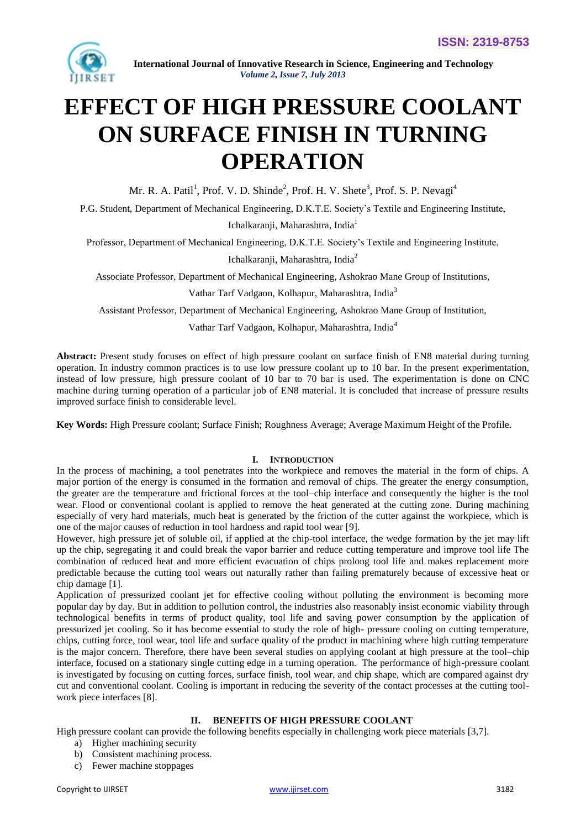

# **EFFECT OF HIGH PRESSURE COOLANT ON SURFACE FINISH IN TURNING OPERATION**

Mr. R. A. Patil<sup>1</sup>, Prof. V. D. Shinde<sup>2</sup>, Prof. H. V. Shete<sup>3</sup>, Prof. S. P. Nevagi<sup>4</sup>

P.G. Student, Department of Mechanical Engineering, D.K.T.E. Society's Textile and Engineering Institute,

Ichalkaranji, Maharashtra, India<sup>1</sup>

Professor, Department of Mechanical Engineering, D.K.T.E. Society's Textile and Engineering Institute,

Ichalkaranji, Maharashtra, India<sup>2</sup>

Associate Professor, Department of Mechanical Engineering, Ashokrao Mane Group of Institutions,

Vathar Tarf Vadgaon, Kolhapur, Maharashtra, India<sup>3</sup>

Assistant Professor, Department of Mechanical Engineering, Ashokrao Mane Group of Institution,

Vathar Tarf Vadgaon, Kolhapur, Maharashtra, India<sup>4</sup>

**Abstract:** Present study focuses on effect of high pressure coolant on surface finish of EN8 material during turning operation. In industry common practices is to use low pressure coolant up to 10 bar. In the present experimentation, instead of low pressure, high pressure coolant of 10 bar to 70 bar is used. The experimentation is done on CNC machine during turning operation of a particular job of EN8 material. It is concluded that increase of pressure results improved surface finish to considerable level.

**Key Words:** High Pressure coolant; Surface Finish; Roughness Average; Average Maximum Height of the Profile.

# **I. INTRODUCTION**

In the process of machining, a tool penetrates into the workpiece and removes the material in the form of chips. A major portion of the energy is consumed in the formation and removal of chips. The greater the energy consumption, the greater are the temperature and frictional forces at the tool–chip interface and consequently the higher is the tool wear. Flood or conventional coolant is applied to remove the heat generated at the cutting zone. During machining especially of very hard materials, much heat is generated by the friction of the cutter against the workpiece, which is one of the major causes of reduction in tool hardness and rapid tool wear [9].

However, high pressure jet of soluble oil, if applied at the chip-tool interface, the wedge formation by the jet may lift up the chip, segregating it and could break the vapor barrier and reduce cutting temperature and improve tool life The combination of reduced heat and more efficient evacuation of chips prolong tool life and makes replacement more predictable because the cutting tool wears out naturally rather than failing prematurely because of excessive heat or chip damage [1].

Application of pressurized coolant jet for effective cooling without polluting the environment is becoming more popular day by day. But in addition to pollution control, the industries also reasonably insist economic viability through technological benefits in terms of product quality, tool life and saving power consumption by the application of pressurized jet cooling. So it has become essential to study the role of high- pressure cooling on cutting temperature, chips, cutting force, tool wear, tool life and surface quality of the product in machining where high cutting temperature is the major concern. Therefore, there have been several studies on applying coolant at high pressure at the tool–chip interface, focused on a stationary single cutting edge in a turning operation. The performance of high-pressure coolant is investigated by focusing on cutting forces, surface finish, tool wear, and chip shape, which are compared against dry cut and conventional coolant. Cooling is important in reducing the severity of the contact processes at the cutting toolwork piece interfaces [8].

# **II. BENEFITS OF HIGH PRESSURE COOLANT**

High pressure coolant can provide the following benefits especially in challenging work piece materials [3,7].

- a) Higher machining security
- b) Consistent machining process.
- c) Fewer machine stoppages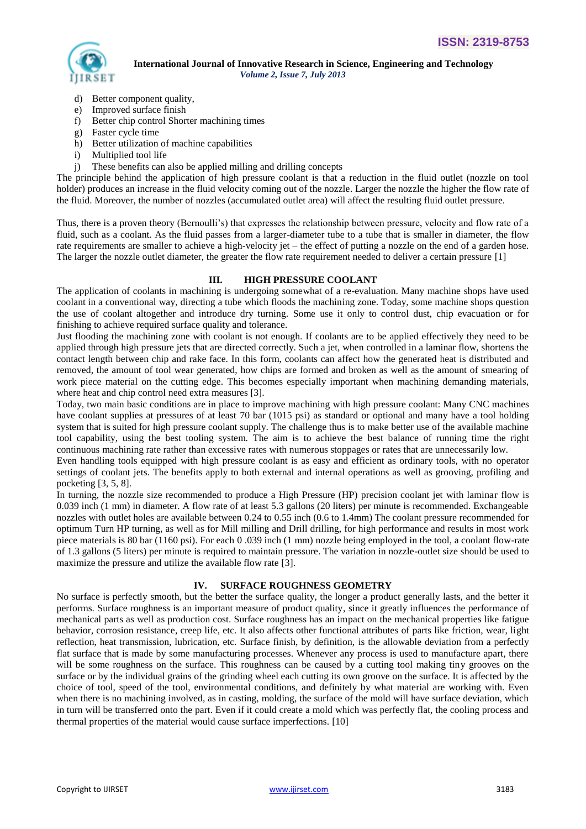

- d) Better component quality,
- e) Improved surface finish
- f) Better chip control Shorter machining times
- g) Faster cycle time
- h) Better utilization of machine capabilities
- i) Multiplied tool life
- j) These benefits can also be applied milling and drilling concepts

The principle behind the application of high pressure coolant is that a reduction in the fluid outlet (nozzle on tool holder) produces an increase in the fluid velocity coming out of the nozzle. Larger the nozzle the higher the flow rate of the fluid. Moreover, the number of nozzles (accumulated outlet area) will affect the resulting fluid outlet pressure.

Thus, there is a proven theory (Bernoulli's) that expresses the relationship between pressure, velocity and flow rate of a fluid, such as a coolant. As the fluid passes from a larger-diameter tube to a tube that is smaller in diameter, the flow rate requirements are smaller to achieve a high-velocity jet – the effect of putting a nozzle on the end of a garden hose. The larger the nozzle outlet diameter, the greater the flow rate requirement needed to deliver a certain pressure [1]

## **III. HIGH PRESSURE COOLANT**

The application of coolants in machining is undergoing somewhat of a re-evaluation. Many machine shops have used coolant in a conventional way, directing a tube which floods the machining zone. Today, some machine shops question the use of coolant altogether and introduce dry turning. Some use it only to control dust, chip evacuation or for finishing to achieve required surface quality and tolerance.

Just flooding the machining zone with coolant is not enough. If coolants are to be applied effectively they need to be applied through high pressure jets that are directed correctly. Such a jet, when controlled in a laminar flow, shortens the contact length between chip and rake face. In this form, coolants can affect how the generated heat is distributed and removed, the amount of tool wear generated, how chips are formed and broken as well as the amount of smearing of work piece material on the cutting edge. This becomes especially important when machining demanding materials, where heat and chip control need extra measures [3].

Today, two main basic conditions are in place to improve machining with high pressure coolant: Many CNC machines have coolant supplies at pressures of at least 70 bar (1015 psi) as standard or optional and many have a tool holding system that is suited for high pressure coolant supply. The challenge thus is to make better use of the available machine tool capability, using the best tooling system. The aim is to achieve the best balance of running time the right continuous machining rate rather than excessive rates with numerous stoppages or rates that are unnecessarily low.

Even handling tools equipped with high pressure coolant is as easy and efficient as ordinary tools, with no operator settings of coolant jets. The benefits apply to both external and internal operations as well as grooving, profiling and pocketing [3, 5, 8].

In turning, the nozzle size recommended to produce a High Pressure (HP) precision coolant jet with laminar flow is 0.039 inch (1 mm) in diameter. A flow rate of at least 5.3 gallons (20 liters) per minute is recommended. Exchangeable nozzles with outlet holes are available between 0.24 to 0.55 inch (0.6 to 1.4mm) The coolant pressure recommended for optimum Turn HP turning, as well as for Mill milling and Drill drilling, for high performance and results in most work piece materials is 80 bar (1160 psi). For each 0 .039 inch (1 mm) nozzle being employed in the tool, a coolant flow-rate of 1.3 gallons (5 liters) per minute is required to maintain pressure. The variation in nozzle-outlet size should be used to maximize the pressure and utilize the available flow rate [3].

# **IV. SURFACE ROUGHNESS GEOMETRY**

No surface is perfectly smooth, but the better the surface quality, the longer a product generally lasts, and the better it performs. Surface roughness is an important measure of product quality, since it greatly influences the performance of mechanical parts as well as production cost. Surface roughness has an impact on the mechanical properties like fatigue behavior, corrosion resistance, creep life, etc. It also affects other functional attributes of parts like friction, wear, light reflection, heat transmission, lubrication, etc. Surface finish, by definition, is the allowable deviation from a perfectly flat surface that is made by some manufacturing processes. Whenever any process is used to manufacture apart, there will be some roughness on the surface. This roughness can be caused by a cutting tool making tiny grooves on the surface or by the individual grains of the grinding wheel each cutting its own groove on the surface. It is affected by the choice of tool, speed of the tool, environmental conditions, and definitely by what material are working with. Even when there is no machining involved, as in casting, molding, the surface of the mold will have surface deviation, which in turn will be transferred onto the part. Even if it could create a mold which was perfectly flat, the cooling process and thermal properties of the material would cause surface imperfections. [10]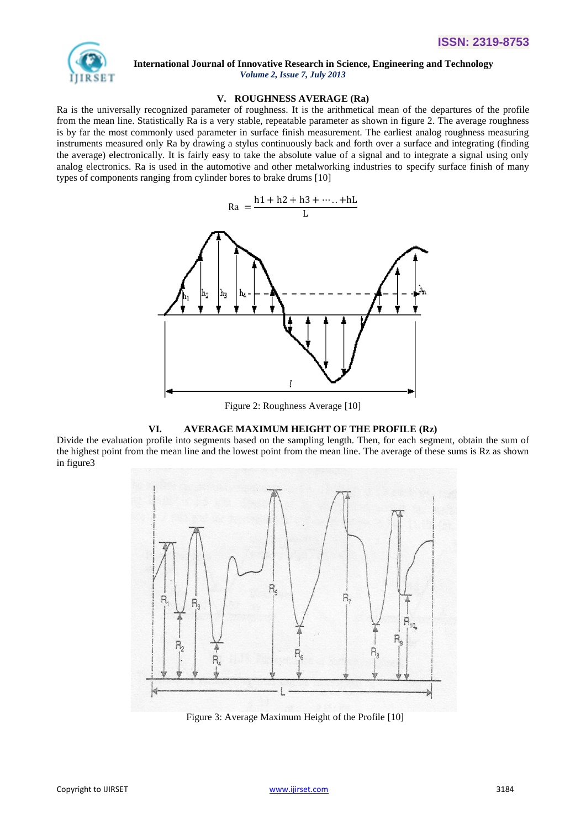

 **International Journal of Innovative Research in Science, Engineering and Technology**

### **V. ROUGHNESS AVERAGE (Ra)**

*Volume 2, Issue 7, July 2013*

Ra is the universally recognized parameter of roughness. It is the arithmetical mean of the departures of the profile from the mean line. Statistically Ra is a very stable, repeatable parameter as shown in figure 2. The average roughness is by far the most commonly used parameter in surface finish measurement. The earliest analog roughness measuring instruments measured only Ra by drawing a stylus continuously back and forth over a surface and integrating (finding the average) electronically. It is fairly easy to take the absolute value of a signal and to integrate a signal using only analog electronics. Ra is used in the automotive and other metalworking industries to specify surface finish of many types of components ranging from cylinder bores to brake drums [10]



Figure 2: Roughness Average [10]

#### **VI. AVERAGE MAXIMUM HEIGHT OF THE PROFILE (Rz)**

Divide the evaluation profile into segments based on the sampling length. Then, for each segment, obtain the sum of the highest point from the mean line and the lowest point from the mean line. The average of these sums is Rz as shown in figure3



Figure 3: Average Maximum Height of the Profile [10]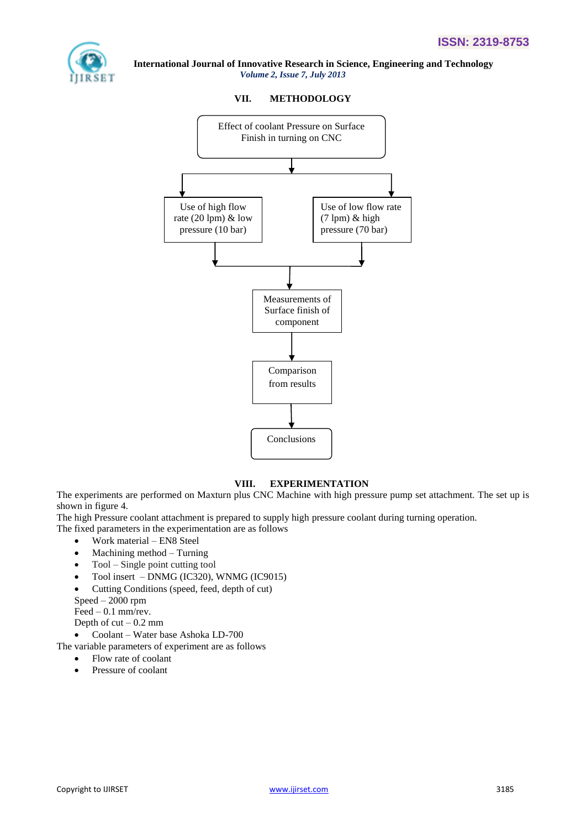

# **VII. METHODOLOGY**



# **VIII. EXPERIMENTATION**

The experiments are performed on Maxturn plus CNC Machine with high pressure pump set attachment. The set up is shown in figure 4.

The high Pressure coolant attachment is prepared to supply high pressure coolant during turning operation.

The fixed parameters in the experimentation are as follows

- Work material EN8 Steel
- Machining method Turning
- Tool Single point cutting tool
- Tool insert DNMG (IC320), WNMG (IC9015)
- Cutting Conditions (speed, feed, depth of cut)

Speed – 2000 rpm

Feed – 0.1 mm/rev.

Depth of  $cut - 0.2$  mm

Coolant – Water base Ashoka LD-700

The variable parameters of experiment are as follows

- Flow rate of coolant
- Pressure of coolant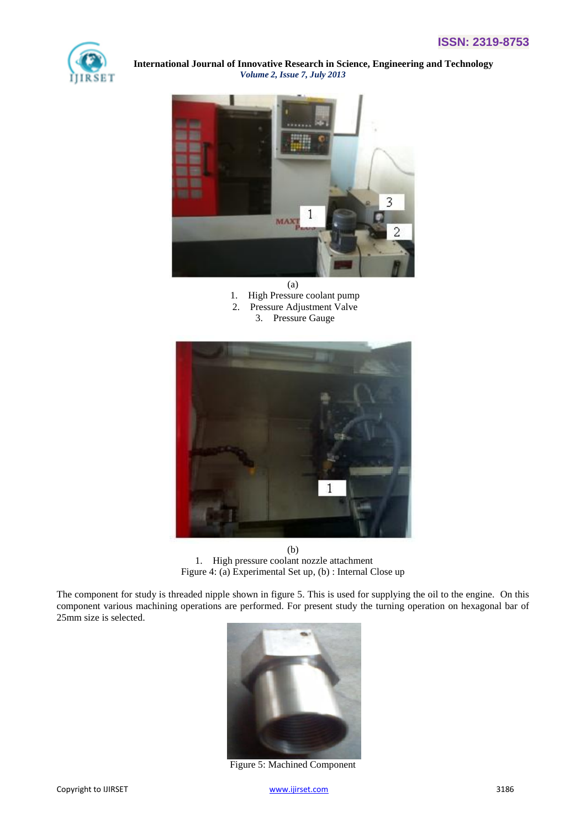



(a) 1. High Pressure coolant pump 2. Pressure Adjustment Valve 3. Pressure Gauge



(b) 1. High pressure coolant nozzle attachment Figure 4: (a) Experimental Set up, (b) : Internal Close up

The component for study is threaded nipple shown in figure 5. This is used for supplying the oil to the engine. On this component various machining operations are performed. For present study the turning operation on hexagonal bar of 25mm size is selected.



Figure 5: Machined Component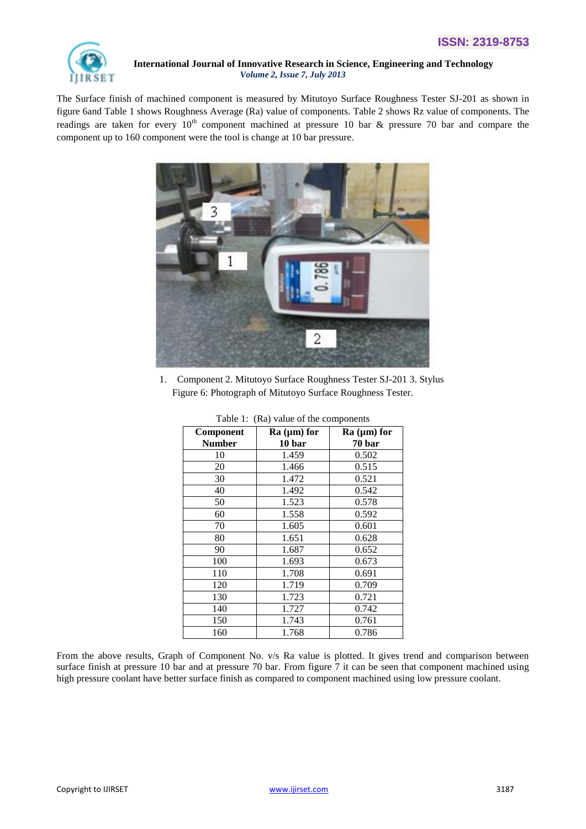

The Surface finish of machined component is measured by Mitutoyo Surface Roughness Tester SJ-201 as shown in figure 6and Table 1 shows Roughness Average (Ra) value of components. Table 2 shows Rz value of components. The readings are taken for every  $10<sup>th</sup>$  component machined at pressure 10 bar & pressure 70 bar and compare the component up to 160 component were the tool is change at 10 bar pressure.



1. Component 2. Mitutoyo Surface Roughness Tester SJ-201 3. Stylus Figure 6: Photograph of Mitutoyo Surface Roughness Tester.

| Component     | $Ra (µm)$ for | $Ra (µm)$ for |
|---------------|---------------|---------------|
| <b>Number</b> | 10 bar        | 70 bar        |
| 10            | 1.459         | 0.502         |
| 20            | 1.466         | 0.515         |
| 30            | 1.472         | 0.521         |
| 40            | 1.492         | 0.542         |
| 50            | 1.523         | 0.578         |
| 60            | 1.558         | 0.592         |
| 70            | 1.605         | 0.601         |
| 80            | 1.651         | 0.628         |
| 90            | 1.687         | 0.652         |
| 100           | 1.693         | 0.673         |
| 110           | 1.708         | 0.691         |
| 120           | 1.719         | 0.709         |
| 130           | 1.723         | 0.721         |
| 140           | 1.727         | 0.742         |
| 150           | 1.743         | 0.761         |
| 160           | 1.768         | 0.786         |

Table 1: (Ra) value of the components

From the above results, Graph of Component No. v/s Ra value is plotted. It gives trend and comparison between surface finish at pressure 10 bar and at pressure 70 bar. From figure 7 it can be seen that component machined using high pressure coolant have better surface finish as compared to component machined using low pressure coolant.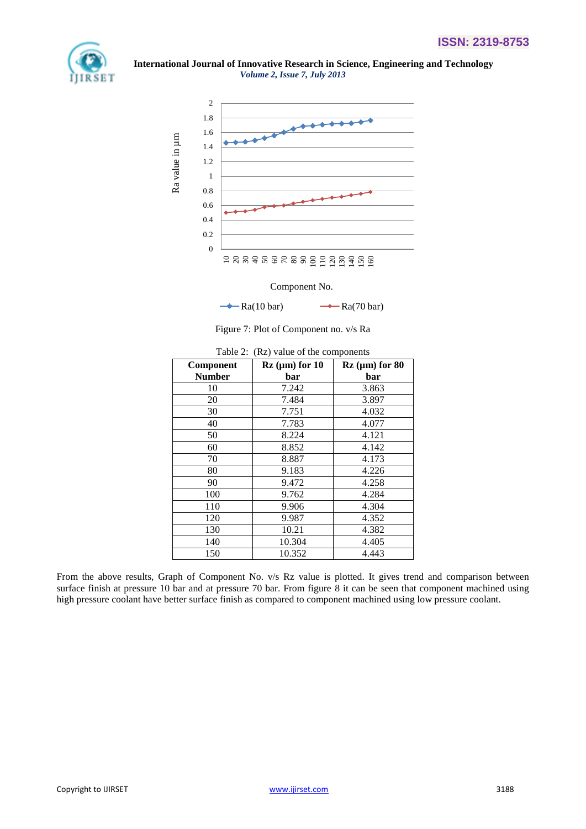



Component No.

 $\rightarrow \text{Ra}(10 \text{ bar})$   $\rightarrow \text{Ra}(70 \text{ bar})$ 

Figure 7: Plot of Component no. v/s Ra

| Component     | $Rz$ (µm) for 10 | $Rz$ (µm) for 80 |
|---------------|------------------|------------------|
| <b>Number</b> | bar              | bar              |
| 10            | 7.242            | 3.863            |
| 20            | 7.484            | 3.897            |
| 30            | 7.751            | 4.032            |
| 40            | 7.783            | 4.077            |
| 50            | 8.224            | 4.121            |
| 60            | 8.852            | 4.142            |
| 70            | 8.887            | 4.173            |
| 80            | 9.183            | 4.226            |
| 90            | 9.472            | 4.258            |
| 100           | 9.762            | 4.284            |
| 110           | 9.906            | 4.304            |
| 120           | 9.987            | 4.352            |
| 130           | 10.21            | 4.382            |
| 140           | 10.304           | 4.405            |
| 150           | 10.352           | 4.443            |

Table 2: (Rz) value of the components

From the above results, Graph of Component No. v/s Rz value is plotted. It gives trend and comparison between surface finish at pressure 10 bar and at pressure 70 bar. From figure 8 it can be seen that component machined using high pressure coolant have better surface finish as compared to component machined using low pressure coolant.